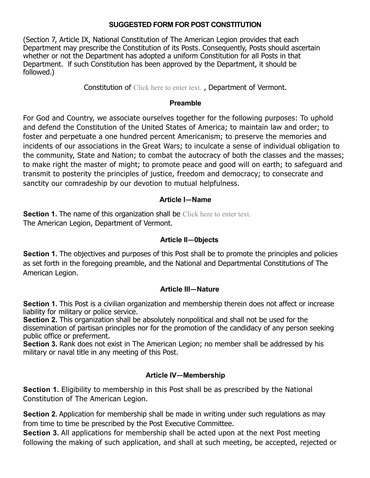## **SUGGESTED FORM FOR POST CONSTITUTION**

(Section 7, Article IX, National Constitution of The American Legion provides that each Department may prescribe the Constitution of its Posts. Consequently, Posts should ascertain whether or not the Department has adopted a uniform Constitution for all Posts in that Department. lf such Constitution has been approved by the Department, it should be followed.)

Constitution of Click here to enter text. , Department of Vermont.

## **Preamble**

For God and Country, we associate ourselves together for the following purposes: To uphold and defend the Constitution of the United States of America; to maintain law and order; to foster and perpetuate a one hundred percent Americanism; to preserve the memories and incidents of our associations in the Great Wars; to inculcate a sense of individual obligation to the community, State and Nation; to combat the autocracy of both the classes and the masses; to make right the master of might; to promote peace and good will on earth; to safeguard and transmit to posterity the principles of justice, freedom and democracy; to consecrate and sanctity our comradeship by our devotion to mutual helpfulness.

# **Article I—Name**

**Section 1.** The name of this organization shall be Click here to enter text. The American Legion, Department of Vermont.

#### **Article II—0bjects**

**Section 1.** The objectives and purposes of this Post shall be to promote the principles and policies as set forth in the foregoing preamble, and the National and Departmental Constitutions of The American Legion.

#### **Article III—Nature**

**Section 1.** This Post is a civilian organization and membership therein does not affect or increase liability for military or police service.

**Section 2.** This organization shall be absolutely nonpolitical and shall not be used for the dissemination of partisan principles nor for the promotion of the candidacy of any person seeking public office or preferment.

**Section 3.** Rank does not exist in The American Legion; no member shall be addressed by his military or naval title in any meeting of this Post.

# **Article IV—Membership**

**Section 1.** Eligibility to membership in this Post shall be as prescribed by the National Constitution of The American Legion.

**Section 2.** Application for membership shall be made in writing under such regulations as may from time to time be prescribed by the Post Executive Committee.

**Section 3.** All applications for membership shall be acted upon at the next Post meeting following the making of such application, and shall at such meeting, be accepted, rejected or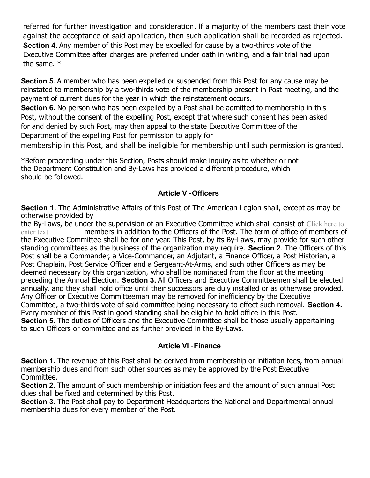referred for further investigation and consideration. lf a majority of the members cast their vote against the acceptance of said application, then such application shall be recorded as rejected. **Section 4.** Any member of this Post may be expelled for cause by a two-thirds vote of the Executive Committee after charges are preferred under oath in writing, and a fair trial had upon the same. \*

**Section 5.** A member who has been expelled or suspended from this Post for any cause may be reinstated to membership by a two-thirds vote of the membership present in Post meeting, and the payment of current dues for the year in which the reinstatement occurs.

**Section 6.** No person who has been expelled by a Post shall be admitted to membership in this Post, without the consent of the expelling Post, except that where such consent has been asked for and denied by such Post, may then appeal to the state Executive Committee of the Department of the expelling Post for permission to apply for

membership in this Post, and shall be ineligible for membership until such permission is granted.

\*Before proceeding under this Section, Posts should make inquiry as to whether or not the Department Constitution and By-Laws has provided a different procedure, which should be followed.

# **Article V** – **Officers**

**Section 1.** The Administrative Affairs of this Post of The American Legion shall, except as may be otherwise provided by

the By-Laws, be under the supervision of an Executive Committee which shall consist of Click here to enter text. **members in addition to the Officers of the Post. The term of office of members of** the Executive Committee shall be for one year. This Post, by its By-Laws, may provide for such other standing committees as the business of the organization may require. **Section 2.** The Officers of this Post shall be a Commander, a Vice-Commander, an Adjutant, a Finance Officer, a Post Historian, a Post Chaplain, Post Service Officer and a Sergeant-At-Arms, and such other Officers as may be deemed necessary by this organization, who shall be nominated from the floor at the meeting preceding the Annual Election. **Section 3.** All Officers and Executive Committeemen shall be elected annually, and they shall hold office until their successors are duly installed or as otherwise provided. Any Officer or Executive Committeeman may be removed for inefficiency by the Executive Committee, a two-thirds vote of said committee being necessary to effect such removal. **Section 4.**  Every member of this Post in good standing shall be eligible to hold office in this Post. **Section 5.** The duties of Officers and the Executive Committee shall be those usually appertaining to such Officers or committee and as further provided in the By-Laws.

# **Article VI** – **Finance**

**Section 1.** The revenue of this Post shall be derived from membership or initiation fees, from annual membership dues and from such other sources as may be approved by the Post Executive Committee.

**Section 2.** The amount of such membership or initiation fees and the amount of such annual Post dues shall be fixed and determined by this Post.

**Section 3.** The Post shall pay to Department Headquarters the National and Departmental annual membership dues for every member of the Post.